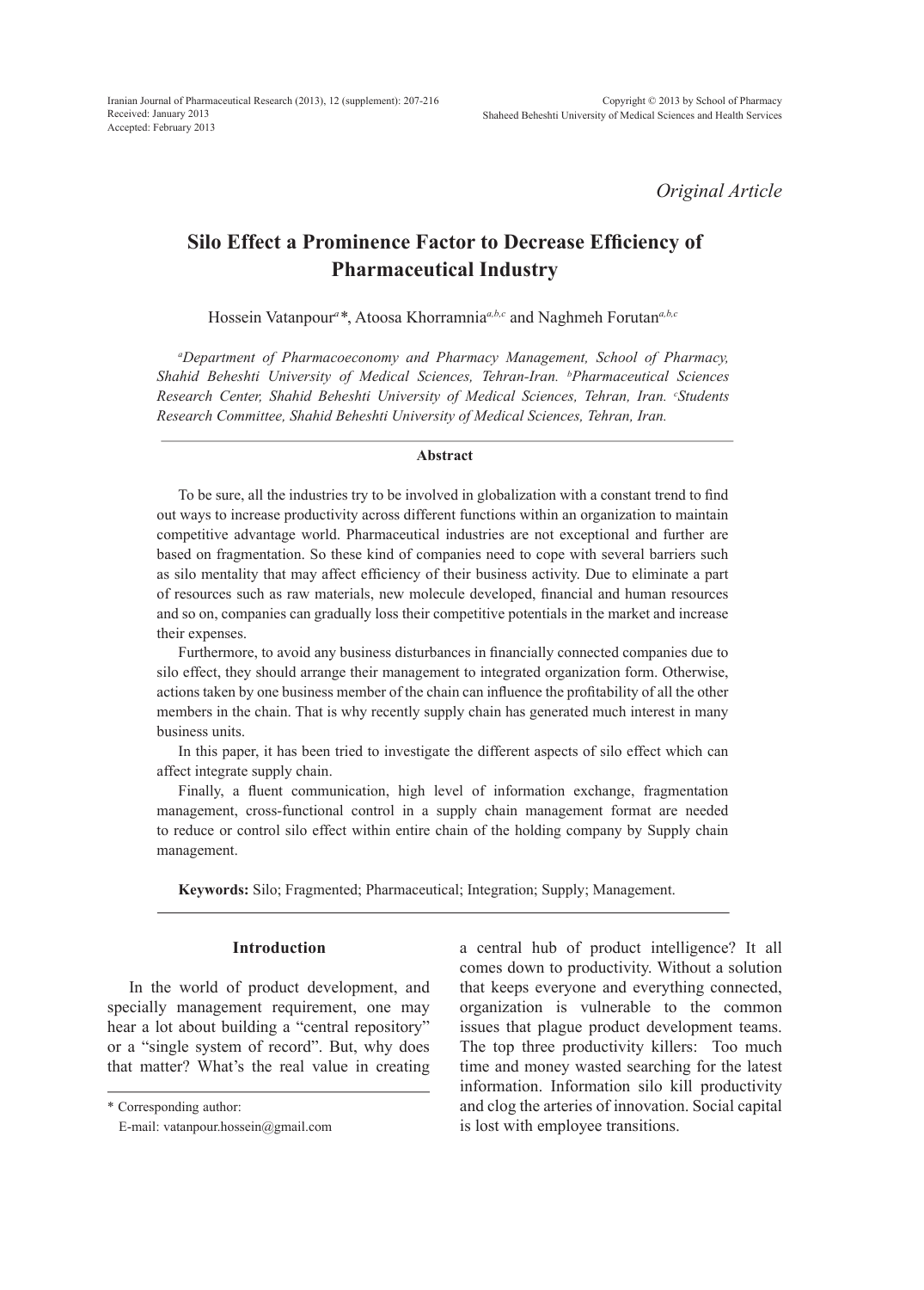*Original Article*

# **Silo Effect a Prominence Factor to Decrease Efficiency of Pharmaceutical Industry**

Hossein Vatanpour*<sup>a</sup> \**, Atoosa Khorramnia*a,b,c* and Naghmeh Forutan*a,b,c*

*a Department of Pharmacoeconomy and Pharmacy Management, School of Pharmacy, Shahid Beheshti University of Medical Sciences, Tehran-Iran. <sup>b</sup> Pharmaceutical Sciences Research Center, Shahid Beheshti University of Medical Sciences, Tehran, Iran. <sup>c</sup> Students Research Committee, Shahid Beheshti University of Medical Sciences, Tehran, Iran.*

#### **Abstract**

To be sure, all the industries try to be involved in globalization with a constant trend to find out ways to increase productivity across different functions within an organization to maintain competitive advantage world. Pharmaceutical industries are not exceptional and further are based on fragmentation. So these kind of companies need to cope with several barriers such as silo mentality that may affect efficiency of their business activity. Due to eliminate a part of resources such as raw materials, new molecule developed, financial and human resources and so on, companies can gradually loss their competitive potentials in the market and increase their expenses.

Furthermore, to avoid any business disturbances in financially connected companies due to silo effect, they should arrange their management to integrated organization form. Otherwise, actions taken by one business member of the chain can influence the profitability of all the other members in the chain. That is why recently supply chain has generated much interest in many business units.

In this paper, it has been tried to investigate the different aspects of silo effect which can affect integrate supply chain.

Finally, a fluent communication, high level of information exchange, fragmentation management, cross-functional control in a supply chain management format are needed to reduce or control silo effect within entire chain of the holding company by Supply chain management.

**Keywords:** Silo; Fragmented; Pharmaceutical; Integration; Supply; Management.

# **Introduction**

In the world of product development, and specially management requirement, one may hear a lot about building a "central repository" or a "single system of record". But, why does that matter? What's the real value in creating

\* Corresponding author:

a central hub of product intelligence? It all comes down to productivity. Without a solution that keeps everyone and everything connected, organization is vulnerable to the common issues that plague product development teams. The top three productivity killers: Too much time and money wasted searching for the latest information. Information silo kill productivity and clog the arteries of innovation. Social capital is lost with employee transitions.

E-mail: vatanpour.hossein@gmail.com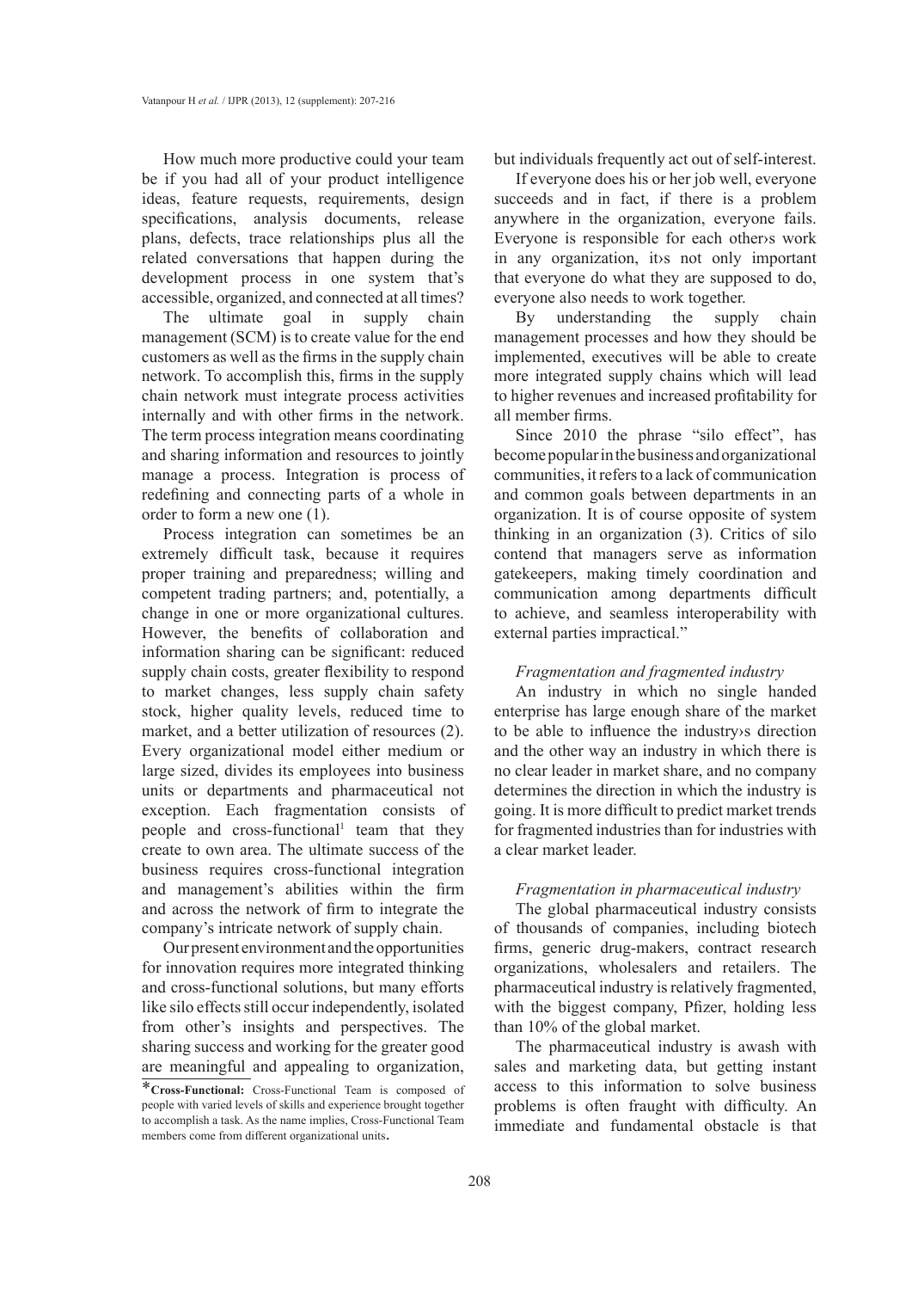How much more productive could your team be if you had all of your product intelligence ideas, feature requests, requirements, design specifications, analysis documents, release plans, defects, trace relationships plus all the related conversations that happen during the development process in one system that's accessible, organized, and connected at all times?

The ultimate goal in supply chain management (SCM) is to create value for the end customers as well as the firms in the supply chain network. To accomplish this, firms in the supply chain network must integrate process activities internally and with other firms in the network. The term process integration means coordinating and sharing information and resources to jointly manage a process. Integration is process of redefining and connecting parts of a whole in order to form a new one (1).

Process integration can sometimes be an extremely difficult task, because it requires proper training and preparedness; willing and competent trading partners; and, potentially, a change in one or more organizational cultures. However, the benefits of collaboration and information sharing can be significant: reduced supply chain costs, greater flexibility to respond to market changes, less supply chain safety stock, higher quality levels, reduced time to market, and a better utilization of resources (2). Every organizational model either medium or large sized, divides its employees into business units or departments and pharmaceutical not exception. Each fragmentation consists of people and cross-functional<sup>1</sup> team that they create to own area. The ultimate success of the business requires cross-functional integration and management's abilities within the firm and across the network of firm to integrate the company's intricate network of supply chain.

Our present environment and the opportunities for innovation requires more integrated thinking and cross-functional solutions, but many efforts like silo effects still occur independently, isolated from other's insights and perspectives. The sharing success and working for the greater good are meaningful and appealing to organization, but individuals frequently act out of self-interest.

If everyone does his or her job well, everyone succeeds and in fact, if there is a problem anywhere in the organization, everyone fails. Everyone is responsible for each other›s work in any organization, it›s not only important that everyone do what they are supposed to do, everyone also needs to work together.

By understanding the supply chain management processes and how they should be implemented, executives will be able to create more integrated supply chains which will lead to higher revenues and increased profitability for all member firms.

Since 2010 the phrase "silo effect", has become popular in the business and organizational communities, it refers to a lack of communication and common goals between departments in an organization. It is of course opposite of system thinking in an organization (3). Critics of silo contend that managers serve as information gatekeepers, making timely coordination and communication among departments difficult to achieve, and seamless interoperability with external parties impractical."

# *Fragmentation and fragmented industry*

An industry in which no single handed enterprise has large enough share of the market to be able to influence the industry›s direction and the other way an industry in which there is no clear leader in market share, and no company determines the direction in which the industry is going. It is more difficult to predict market trends for fragmented industries than for industries with a clear market leader.

## *Fragmentation in pharmaceutical industry*

The global pharmaceutical industry consists of thousands of companies, including biotech firms, generic drug-makers, contract research organizations, wholesalers and retailers. The pharmaceutical industry is relatively fragmented, with the biggest company, Pfizer, holding less than 10% of the global market.

The pharmaceutical industry is awash with sales and marketing data, but getting instant access to this information to solve business problems is often fraught with difficulty. An immediate and fundamental obstacle is that

<sup>\*</sup>**Cross-Functional:** Cross-Functional Team is composed of people with varied levels of skills and experience brought together to accomplish a task. As the name implies, Cross-Functional Team members come from different organizational units.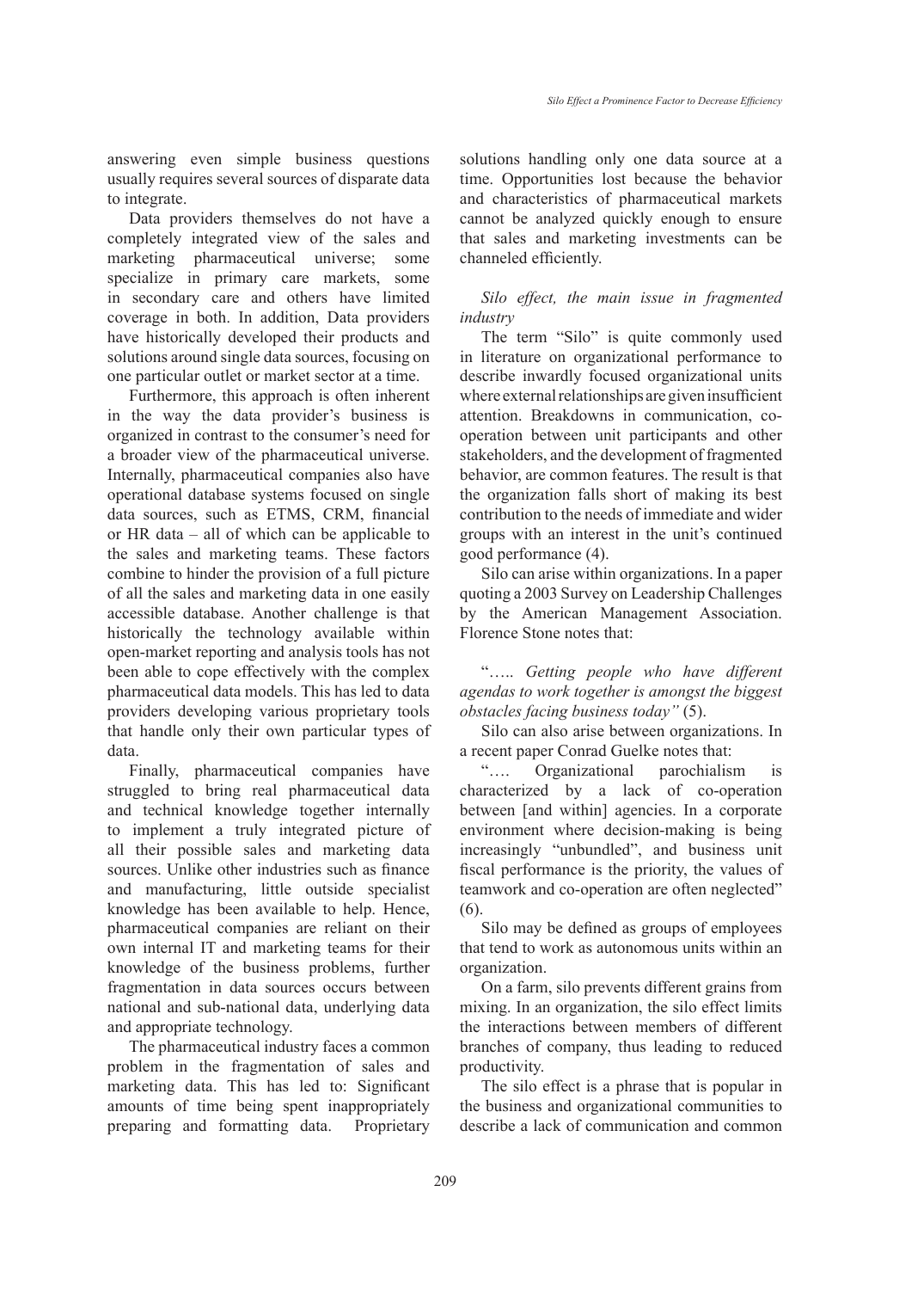answering even simple business questions usually requires several sources of disparate data to integrate.

Data providers themselves do not have a completely integrated view of the sales and marketing pharmaceutical universe; some specialize in primary care markets, some in secondary care and others have limited coverage in both. In addition, Data providers have historically developed their products and solutions around single data sources, focusing on one particular outlet or market sector at a time.

Furthermore, this approach is often inherent in the way the data provider's business is organized in contrast to the consumer's need for a broader view of the pharmaceutical universe. Internally, pharmaceutical companies also have operational database systems focused on single data sources, such as ETMS, CRM, financial or HR data – all of which can be applicable to the sales and marketing teams. These factors combine to hinder the provision of a full picture of all the sales and marketing data in one easily accessible database. Another challenge is that historically the technology available within open-market reporting and analysis tools has not been able to cope effectively with the complex pharmaceutical data models. This has led to data providers developing various proprietary tools that handle only their own particular types of data.

Finally, pharmaceutical companies have struggled to bring real pharmaceutical data and technical knowledge together internally to implement a truly integrated picture of all their possible sales and marketing data sources. Unlike other industries such as finance and manufacturing, little outside specialist knowledge has been available to help. Hence, pharmaceutical companies are reliant on their own internal IT and marketing teams for their knowledge of the business problems, further fragmentation in data sources occurs between national and sub-national data, underlying data and appropriate technology.

The pharmaceutical industry faces a common problem in the fragmentation of sales and marketing data. This has led to: Significant amounts of time being spent inappropriately preparing and formatting data. Proprietary solutions handling only one data source at a time. Opportunities lost because the behavior and characteristics of pharmaceutical markets cannot be analyzed quickly enough to ensure that sales and marketing investments can be channeled efficiently.

# *Silo effect, the main issue in fragmented industry*

The term "Silo" is quite commonly used in literature on organizational performance to describe inwardly focused organizational units where external relationships are given insufficient attention. Breakdowns in communication, cooperation between unit participants and other stakeholders, and the development of fragmented behavior, are common features. The result is that the organization falls short of making its best contribution to the needs of immediate and wider groups with an interest in the unit's continued good performance (4).

Silo can arise within organizations. In a paper quoting a 2003 Survey on Leadership Challenges by the American Management Association. Florence Stone notes that:

"….. *Getting people who have different agendas to work together is amongst the biggest obstacles facing business today"* (5).

Silo can also arise between organizations. In a recent paper Conrad Guelke notes that:

"…. Organizational parochialism is characterized by a lack of co-operation between [and within] agencies. In a corporate environment where decision-making is being increasingly "unbundled", and business unit fiscal performance is the priority, the values of teamwork and co-operation are often neglected" (6).

Silo may be defined as groups of employees that tend to work as autonomous units within an organization.

On a farm, silo prevents different grains from mixing. In an organization, the silo effect limits the interactions between members of different branches of company, thus leading to reduced productivity.

The silo effect is a phrase that is popular in the business and organizational communities to describe a lack of communication and common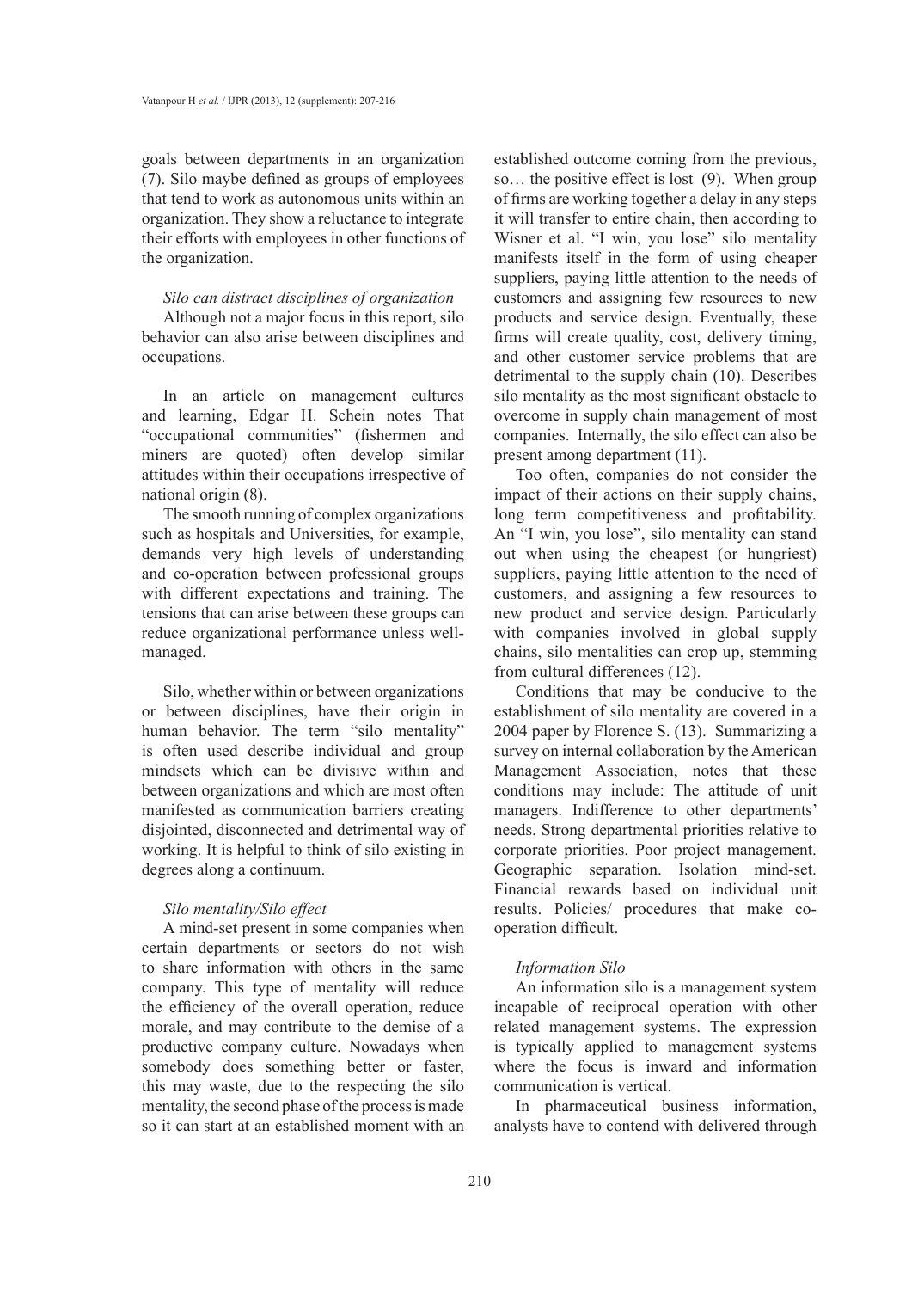goals between departments in an organization (7). Silo maybe defined as groups of employees that tend to work as autonomous units within an organization. They show a reluctance to integrate their efforts with employees in other functions of the organization.

## *Silo can distract disciplines of organization*

Although not a major focus in this report, silo behavior can also arise between disciplines and occupations.

In an article on management cultures and learning, Edgar H. Schein notes That "occupational communities" (fishermen and miners are quoted) often develop similar attitudes within their occupations irrespective of national origin (8).

The smooth running of complex organizations such as hospitals and Universities, for example, demands very high levels of understanding and co-operation between professional groups with different expectations and training. The tensions that can arise between these groups can reduce organizational performance unless wellmanaged.

Silo, whether within or between organizations or between disciplines, have their origin in human behavior. The term "silo mentality" is often used describe individual and group mindsets which can be divisive within and between organizations and which are most often manifested as communication barriers creating disjointed, disconnected and detrimental way of working. It is helpful to think of silo existing in degrees along a continuum.

## *Silo mentality/Silo effect*

A mind-set present in some companies when certain departments or sectors do not wish to share information with others in the same company. This type of mentality will reduce the efficiency of the overall operation, reduce morale, and may contribute to the demise of a productive company culture. Nowadays when somebody does something better or faster, this may waste, due to the respecting the silo mentality, the second phase of the process is made so it can start at an established moment with an established outcome coming from the previous, so… the positive effect is lost (9). When group of firms are working together a delay in any steps it will transfer to entire chain, then according to Wisner et al. "I win, you lose" silo mentality manifests itself in the form of using cheaper suppliers, paying little attention to the needs of customers and assigning few resources to new products and service design. Eventually, these firms will create quality, cost, delivery timing, and other customer service problems that are detrimental to the supply chain (10). Describes silo mentality as the most significant obstacle to overcome in supply chain management of most companies. Internally, the silo effect can also be present among department (11).

Too often, companies do not consider the impact of their actions on their supply chains, long term competitiveness and profitability. An "I win, you lose", silo mentality can stand out when using the cheapest (or hungriest) suppliers, paying little attention to the need of customers, and assigning a few resources to new product and service design. Particularly with companies involved in global supply chains, silo mentalities can crop up, stemming from cultural differences (12).

Conditions that may be conducive to the establishment of silo mentality are covered in a 2004 paper by Florence S. (13). Summarizing a survey on internal collaboration by the American Management Association, notes that these conditions may include: The attitude of unit managers. Indifference to other departments' needs. Strong departmental priorities relative to corporate priorities. Poor project management. Geographic separation. Isolation mind-set. Financial rewards based on individual unit results. Policies/ procedures that make cooperation difficult.

# *Information Silo*

An information silo is a management system incapable of reciprocal operation with other related management systems. The expression is typically applied to management systems where the focus is inward and information communication is vertical.

In pharmaceutical business information, analysts have to contend with delivered through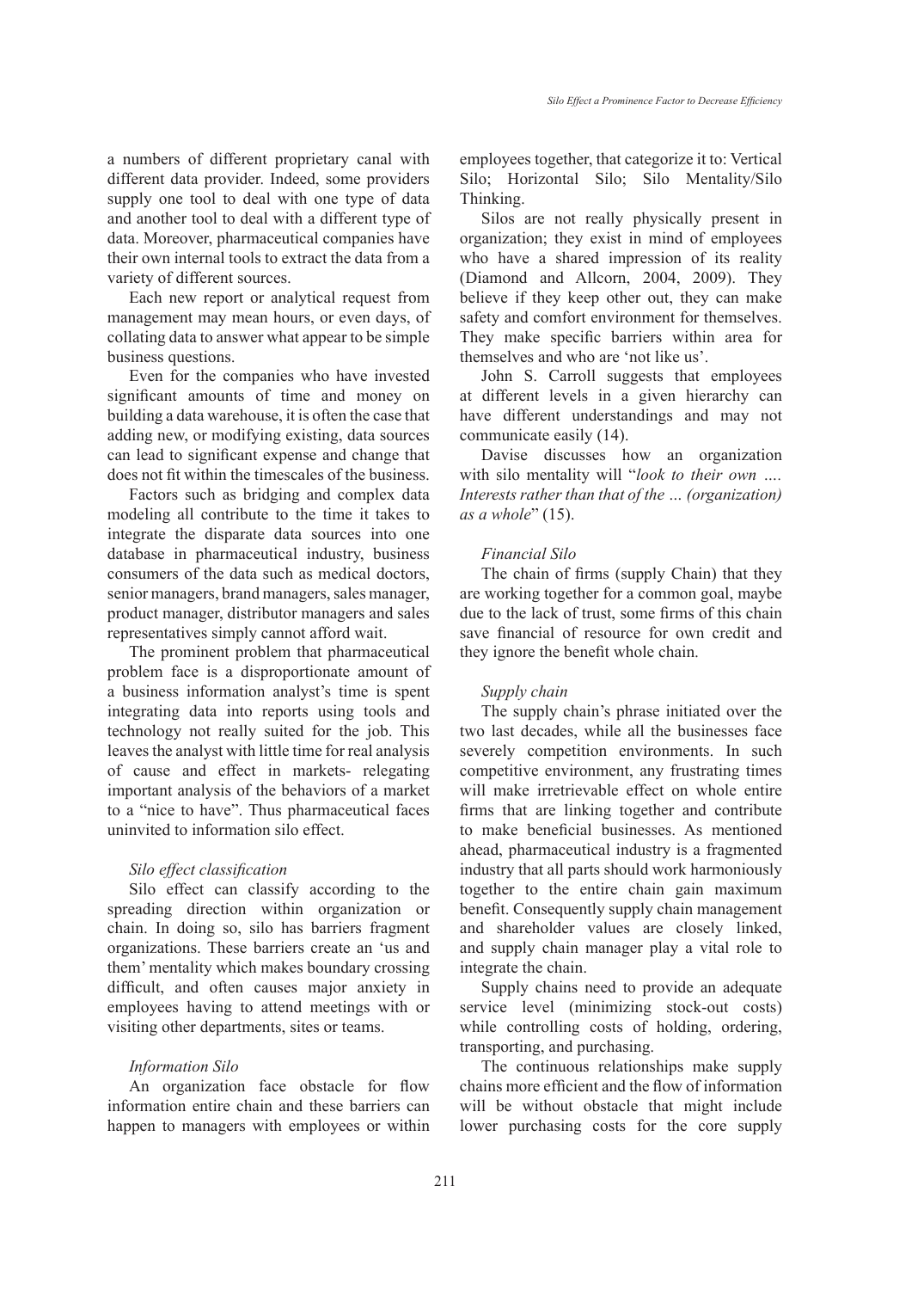a numbers of different proprietary canal with different data provider. Indeed, some providers supply one tool to deal with one type of data and another tool to deal with a different type of data. Moreover, pharmaceutical companies have their own internal tools to extract the data from a variety of different sources.

Each new report or analytical request from management may mean hours, or even days, of collating data to answer what appear to be simple business questions.

Even for the companies who have invested significant amounts of time and money on building a data warehouse, it is often the case that adding new, or modifying existing, data sources can lead to significant expense and change that does not fit within the timescales of the business.

Factors such as bridging and complex data modeling all contribute to the time it takes to integrate the disparate data sources into one database in pharmaceutical industry, business consumers of the data such as medical doctors, senior managers, brand managers, sales manager, product manager, distributor managers and sales representatives simply cannot afford wait.

The prominent problem that pharmaceutical problem face is a disproportionate amount of a business information analyst's time is spent integrating data into reports using tools and technology not really suited for the job. This leaves the analyst with little time for real analysis of cause and effect in markets- relegating important analysis of the behaviors of a market to a "nice to have". Thus pharmaceutical faces uninvited to information silo effect.

## *Silo effect classification*

Silo effect can classify according to the spreading direction within organization or chain. In doing so, silo has barriers fragment organizations. These barriers create an 'us and them' mentality which makes boundary crossing difficult, and often causes major anxiety in employees having to attend meetings with or visiting other departments, sites or teams.

## *Information Silo*

An organization face obstacle for flow information entire chain and these barriers can happen to managers with employees or within employees together, that categorize it to: Vertical Silo; Horizontal Silo; Silo Mentality/Silo Thinking.

Silos are not really physically present in organization; they exist in mind of employees who have a shared impression of its reality (Diamond and Allcorn, 2004, 2009). They believe if they keep other out, they can make safety and comfort environment for themselves. They make specific barriers within area for themselves and who are 'not like us'.

John S. Carroll suggests that employees at different levels in a given hierarchy can have different understandings and may not communicate easily (14).

Davise discusses how an organization with silo mentality will "*look to their own …. Interests rather than that of the … (organization) as a whole*" (15).

## *Financial Silo*

The chain of firms (supply Chain) that they are working together for a common goal, maybe due to the lack of trust, some firms of this chain save financial of resource for own credit and they ignore the benefit whole chain.

#### *Supply chain*

The supply chain's phrase initiated over the two last decades, while all the businesses face severely competition environments. In such competitive environment, any frustrating times will make irretrievable effect on whole entire firms that are linking together and contribute to make beneficial businesses. As mentioned ahead, pharmaceutical industry is a fragmented industry that all parts should work harmoniously together to the entire chain gain maximum benefit. Consequently supply chain management and shareholder values are closely linked, and supply chain manager play a vital role to integrate the chain.

Supply chains need to provide an adequate service level (minimizing stock-out costs) while controlling costs of holding, ordering, transporting, and purchasing.

The continuous relationships make supply chains more efficient and the flow of information will be without obstacle that might include lower purchasing costs for the core supply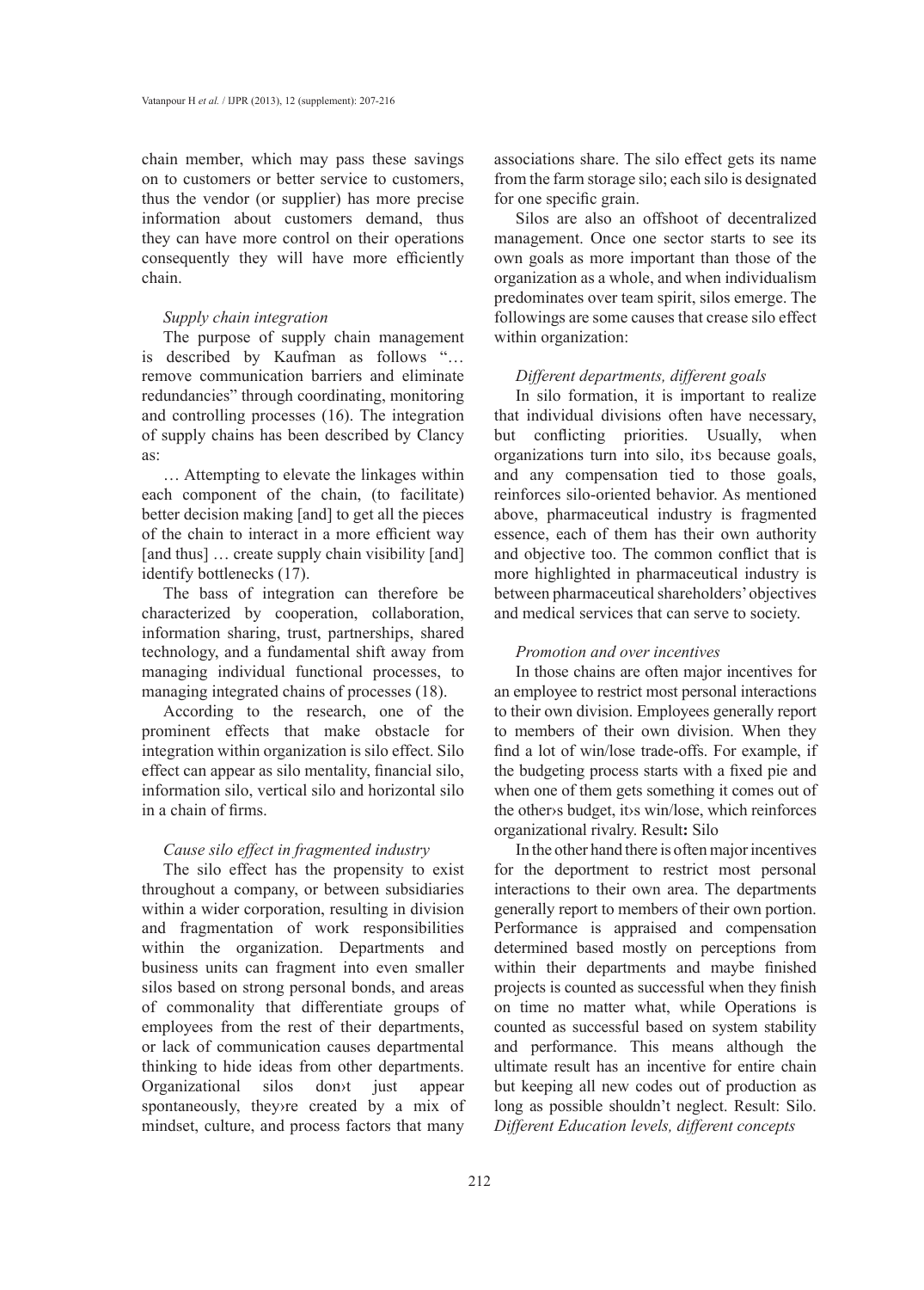chain member, which may pass these savings on to customers or better service to customers, thus the vendor (or supplier) has more precise information about customers demand, thus they can have more control on their operations consequently they will have more efficiently chain.

## *Supply chain integration*

The purpose of supply chain management is described by Kaufman as follows "… remove communication barriers and eliminate redundancies" through coordinating, monitoring and controlling processes (16). The integration of supply chains has been described by Clancy as:

… Attempting to elevate the linkages within each component of the chain, (to facilitate) better decision making [and] to get all the pieces of the chain to interact in a more efficient way [and thus] ... create supply chain visibility [and] identify bottlenecks (17).

The bass of integration can therefore be characterized by cooperation, collaboration, information sharing, trust, partnerships, shared technology, and a fundamental shift away from managing individual functional processes, to managing integrated chains of processes (18).

According to the research, one of the prominent effects that make obstacle for integration within organization is silo effect. Silo effect can appear as silo mentality, financial silo, information silo, vertical silo and horizontal silo in a chain of firms.

# *Cause silo effect in fragmented industry*

The silo effect has the propensity to exist throughout a company, or between subsidiaries within a wider corporation, resulting in division and fragmentation of work responsibilities within the organization. Departments and business units can fragment into even smaller silos based on strong personal bonds, and areas of commonality that differentiate groups of employees from the rest of their departments, or lack of communication causes departmental thinking to hide ideas from other departments. Organizational silos don›t just appear spontaneously, they›re created by a mix of mindset, culture, and process factors that many associations share. The silo effect gets its name from the farm storage silo; each silo is designated for one specific grain.

Silos are also an offshoot of decentralized management. Once one sector starts to see its own goals as more important than those of the organization as a whole, and when individualism predominates over team spirit, silos emerge. The followings are some causes that crease silo effect within organization:

## *Different departments, different goals*

In silo formation, it is important to realize that individual divisions often have necessary, but conflicting priorities. Usually, when organizations turn into silo, it›s because goals, and any compensation tied to those goals, reinforces silo-oriented behavior. As mentioned above, pharmaceutical industry is fragmented essence, each of them has their own authority and objective too. The common conflict that is more highlighted in pharmaceutical industry is between pharmaceutical shareholders' objectives and medical services that can serve to society.

## *Promotion and over incentives*

In those chains are often major incentives for an employee to restrict most personal interactions to their own division. Employees generally report to members of their own division. When they find a lot of win/lose trade-offs. For example, if the budgeting process starts with a fixed pie and when one of them gets something it comes out of the other›s budget, it›s win/lose, which reinforces organizational rivalry. Result**:** Silo

In the other hand there is often major incentives for the deportment to restrict most personal interactions to their own area. The departments generally report to members of their own portion. Performance is appraised and compensation determined based mostly on perceptions from within their departments and maybe finished projects is counted as successful when they finish on time no matter what, while Operations is counted as successful based on system stability and performance. This means although the ultimate result has an incentive for entire chain but keeping all new codes out of production as long as possible shouldn't neglect. Result: Silo. *Different Education levels, different concepts*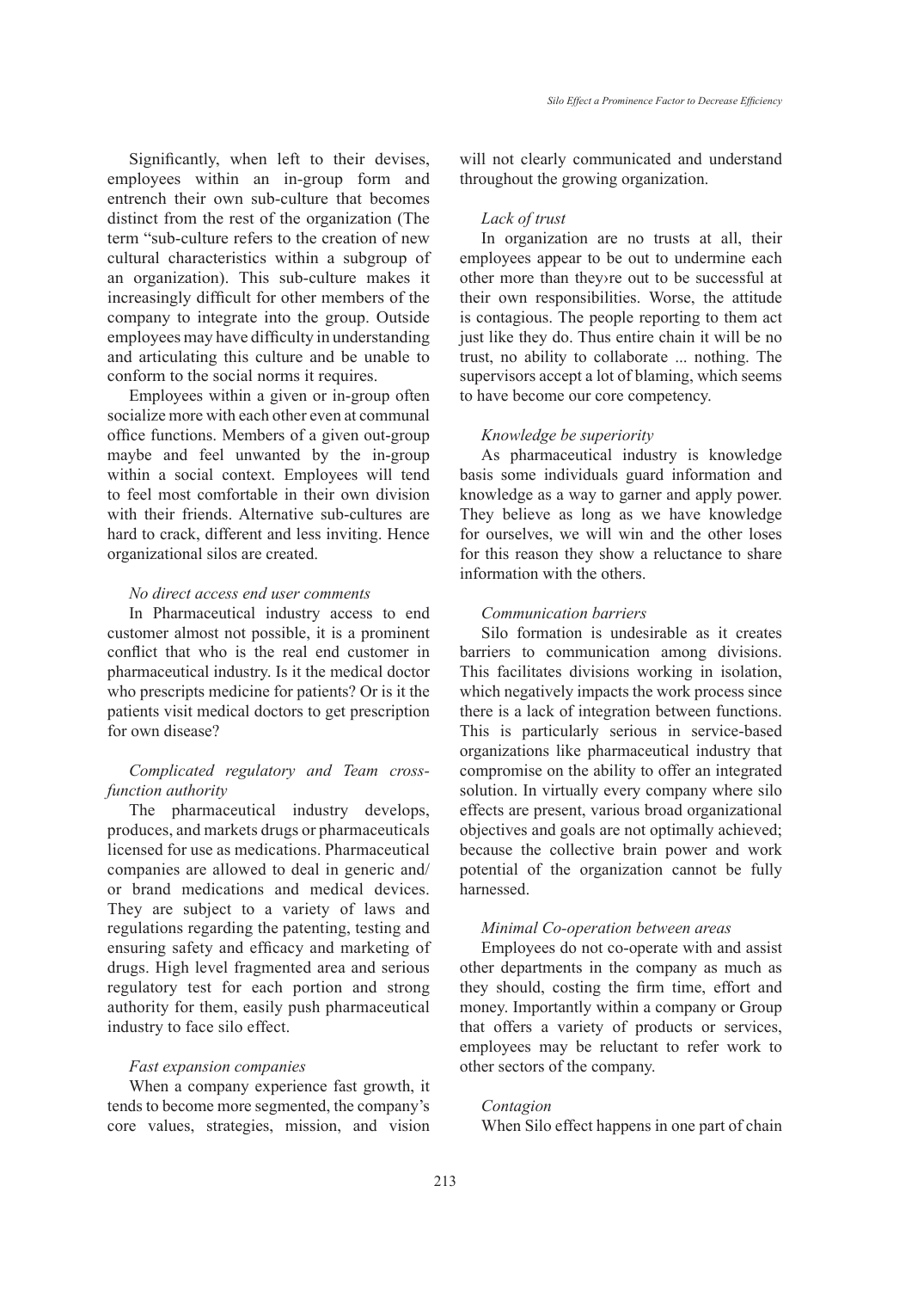Significantly, when left to their devises, employees within an in-group form and entrench their own sub-culture that becomes distinct from the rest of the organization (The term "sub-culture refers to the creation of new cultural characteristics within a subgroup of an organization). This sub-culture makes it increasingly difficult for other members of the company to integrate into the group. Outside employees may have difficulty in understanding and articulating this culture and be unable to conform to the social norms it requires.

Employees within a given or in-group often socialize more with each other even at communal office functions. Members of a given out-group maybe and feel unwanted by the in-group within a social context. Employees will tend to feel most comfortable in their own division with their friends. Alternative sub-cultures are hard to crack, different and less inviting. Hence organizational silos are created.

## *No direct access end user comments*

In Pharmaceutical industry access to end customer almost not possible, it is a prominent conflict that who is the real end customer in pharmaceutical industry. Is it the medical doctor who prescripts medicine for patients? Or is it the patients visit medical doctors to get prescription for own disease?

# *Complicated regulatory and Team crossfunction authority*

The pharmaceutical industry develops, produces, and markets drugs or pharmaceuticals licensed for use as medications. Pharmaceutical companies are allowed to deal in generic and/ or brand medications and medical devices. They are subject to a variety of laws and regulations regarding the patenting, testing and ensuring safety and efficacy and marketing of drugs. High level fragmented area and serious regulatory test for each portion and strong authority for them, easily push pharmaceutical industry to face silo effect.

## *Fast expansion companies*

When a company experience fast growth, it tends to become more segmented, the company's core values, strategies, mission, and vision will not clearly communicated and understand throughout the growing organization.

### *Lack of trust*

In organization are no trusts at all, their employees appear to be out to undermine each other more than they›re out to be successful at their own responsibilities. Worse, the attitude is contagious. The people reporting to them act just like they do. Thus entire chain it will be no trust, no ability to collaborate ... nothing. The supervisors accept a lot of blaming, which seems to have become our core competency.

## *Knowledge be superiority*

As pharmaceutical industry is knowledge basis some individuals guard information and knowledge as a way to garner and apply power. They believe as long as we have knowledge for ourselves, we will win and the other loses for this reason they show a reluctance to share information with the others.

## *Communication barriers*

Silo formation is undesirable as it creates barriers to communication among divisions. This facilitates divisions working in isolation, which negatively impacts the work process since there is a lack of integration between functions. This is particularly serious in service-based organizations like pharmaceutical industry that compromise on the ability to offer an integrated solution. In virtually every company where silo effects are present, various broad organizational objectives and goals are not optimally achieved; because the collective brain power and work potential of the organization cannot be fully harnessed.

## *Minimal Co-operation between areas*

Employees do not co-operate with and assist other departments in the company as much as they should, costing the firm time, effort and money. Importantly within a company or Group that offers a variety of products or services, employees may be reluctant to refer work to other sectors of the company.

## *Contagion*

When Silo effect happens in one part of chain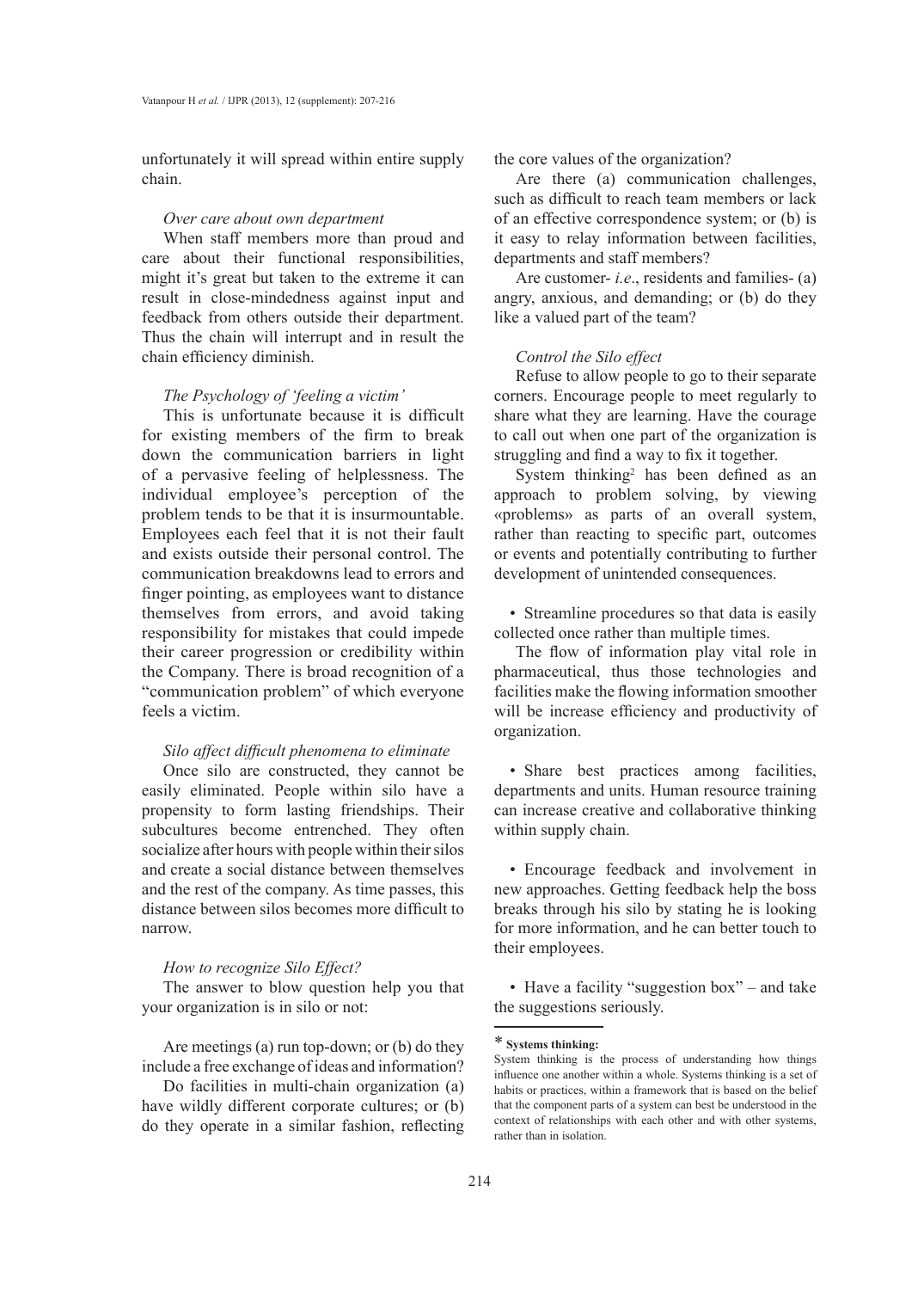unfortunately it will spread within entire supply chain.

#### *Over care about own department*

When staff members more than proud and care about their functional responsibilities, might it's great but taken to the extreme it can result in close-mindedness against input and feedback from others outside their department. Thus the chain will interrupt and in result the chain efficiency diminish.

## *The Psychology of 'feeling a victim'*

This is unfortunate because it is difficult for existing members of the firm to break down the communication barriers in light of a pervasive feeling of helplessness. The individual employee's perception of the problem tends to be that it is insurmountable. Employees each feel that it is not their fault and exists outside their personal control. The communication breakdowns lead to errors and finger pointing, as employees want to distance themselves from errors, and avoid taking responsibility for mistakes that could impede their career progression or credibility within the Company. There is broad recognition of a "communication problem" of which everyone feels a victim.

## *Silo affect difficult phenomena to eliminate*

Once silo are constructed, they cannot be easily eliminated. People within silo have a propensity to form lasting friendships. Their subcultures become entrenched. They often socialize after hours with people within their silos and create a social distance between themselves and the rest of the company. As time passes, this distance between silos becomes more difficult to narrow.

## *How to recognize Silo Effect?*

The answer to blow question help you that your organization is in silo or not:

Are meetings (a) run top-down; or (b) do they include a free exchange of ideas and information?

Do facilities in multi-chain organization (a) have wildly different corporate cultures; or (b) do they operate in a similar fashion, reflecting the core values of the organization?

Are there (a) communication challenges, such as difficult to reach team members or lack of an effective correspondence system; or (b) is it easy to relay information between facilities, departments and staff members?

Are customer- *i.e*., residents and families- (a) angry, anxious, and demanding; or (b) do they like a valued part of the team?

#### *Control the Silo effect*

Refuse to allow people to go to their separate corners. Encourage people to meet regularly to share what they are learning. Have the courage to call out when one part of the organization is struggling and find a way to fix it together.

System thinking<sup>2</sup> has been defined as an approach to problem solving, by viewing «problems» as parts of an overall system, rather than reacting to specific part, outcomes or events and potentially contributing to further development of unintended consequences.

• Streamline procedures so that data is easily collected once rather than multiple times.

The flow of information play vital role in pharmaceutical, thus those technologies and facilities make the flowing information smoother will be increase efficiency and productivity of organization.

• Share best practices among facilities, departments and units. Human resource training can increase creative and collaborative thinking within supply chain.

• Encourage feedback and involvement in new approaches. Getting feedback help the boss breaks through his silo by stating he is looking for more information, and he can better touch to their employees.

• Have a facility "suggestion box" – and take the suggestions seriously.

<sup>\*</sup> **Systems thinking:**

System thinking is the process of understanding how things influence one another within a whole. Systems thinking is a set of habits or practices, within a framework that is based on the belief that the component parts of a system can best be understood in the context of relationships with each other and with other systems, rather than in isolation.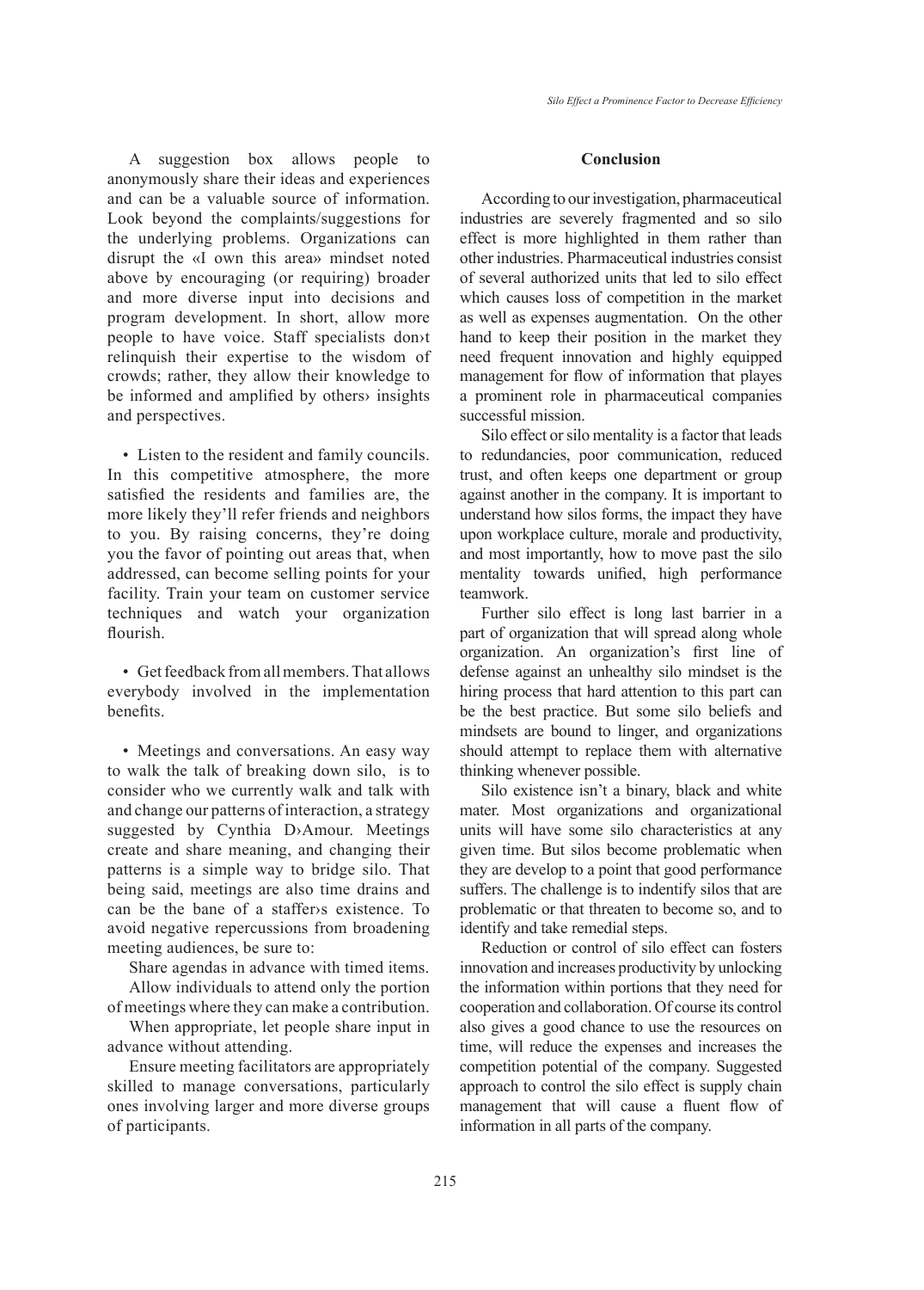A suggestion box allows people to anonymously share their ideas and experiences and can be a valuable source of information. Look beyond the complaints/suggestions for the underlying problems. Organizations can disrupt the «I own this area» mindset noted above by encouraging (or requiring) broader and more diverse input into decisions and program development. In short, allow more people to have voice. Staff specialists don›t relinquish their expertise to the wisdom of crowds; rather, they allow their knowledge to be informed and amplified by others› insights and perspectives.

• Listen to the resident and family councils. In this competitive atmosphere, the more satisfied the residents and families are, the more likely they'll refer friends and neighbors to you. By raising concerns, they're doing you the favor of pointing out areas that, when addressed, can become selling points for your facility. Train your team on customer service techniques and watch your organization flourish.

• Get feedback from all members. That allows everybody involved in the implementation benefits.

• Meetings and conversations. An easy way to walk the talk of breaking down silo, is to consider who we currently walk and talk with and change our patterns of interaction, a strategy suggested by Cynthia D›Amour. Meetings create and share meaning, and changing their patterns is a simple way to bridge silo. That being said, meetings are also time drains and can be the bane of a staffer›s existence. To avoid negative repercussions from broadening meeting audiences, be sure to:

Share agendas in advance with timed items.

Allow individuals to attend only the portion of meetings where they can make a contribution.

When appropriate, let people share input in advance without attending.

Ensure meeting facilitators are appropriately skilled to manage conversations, particularly ones involving larger and more diverse groups of participants.

## **Conclusion**

According to our investigation, pharmaceutical industries are severely fragmented and so silo effect is more highlighted in them rather than other industries. Pharmaceutical industries consist of several authorized units that led to silo effect which causes loss of competition in the market as well as expenses augmentation. On the other hand to keep their position in the market they need frequent innovation and highly equipped management for flow of information that playes a prominent role in pharmaceutical companies successful mission.

Silo effect or silo mentality is a factor that leads to redundancies, poor communication, reduced trust, and often keeps one department or group against another in the company. It is important to understand how silos forms, the impact they have upon workplace culture, morale and productivity, and most importantly, how to move past the silo mentality towards unified, high performance teamwork.

Further silo effect is long last barrier in a part of organization that will spread along whole organization. An organization's first line of defense against an unhealthy silo mindset is the hiring process that hard attention to this part can be the best practice. But some silo beliefs and mindsets are bound to linger, and organizations should attempt to replace them with alternative thinking whenever possible.

Silo existence isn't a binary, black and white mater. Most organizations and organizational units will have some silo characteristics at any given time. But silos become problematic when they are develop to a point that good performance suffers. The challenge is to indentify silos that are problematic or that threaten to become so, and to identify and take remedial steps.

Reduction or control of silo effect can fosters innovation and increases productivity by unlocking the information within portions that they need for cooperation and collaboration. Of course its control also gives a good chance to use the resources on time, will reduce the expenses and increases the competition potential of the company. Suggested approach to control the silo effect is supply chain management that will cause a fluent flow of information in all parts of the company.